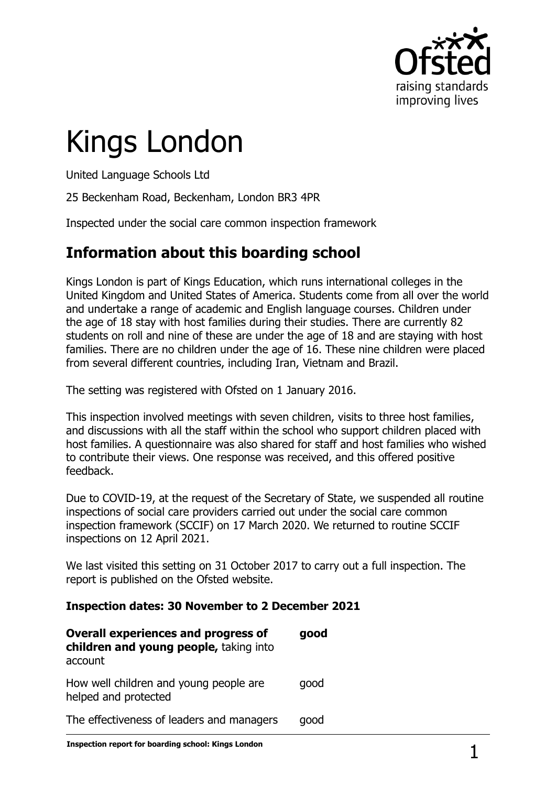

# Kings London

United Language Schools Ltd

25 Beckenham Road, Beckenham, London BR3 4PR

Inspected under the social care common inspection framework

## **Information about this boarding school**

Kings London is part of Kings Education, which runs international colleges in the United Kingdom and United States of America. Students come from all over the world and undertake a range of academic and English language courses. Children under the age of 18 stay with host families during their studies. There are currently 82 students on roll and nine of these are under the age of 18 and are staying with host families. There are no children under the age of 16. These nine children were placed from several different countries, including Iran, Vietnam and Brazil.

The setting was registered with Ofsted on 1 January 2016.

This inspection involved meetings with seven children, visits to three host families, and discussions with all the staff within the school who support children placed with host families. A questionnaire was also shared for staff and host families who wished to contribute their views. One response was received, and this offered positive feedback.

Due to COVID-19, at the request of the Secretary of State, we suspended all routine inspections of social care providers carried out under the social care common inspection framework (SCCIF) on 17 March 2020. We returned to routine SCCIF inspections on 12 April 2021.

We last visited this setting on 31 October 2017 to carry out a full inspection. The report is published on the Ofsted website.

#### **Inspection dates: 30 November to 2 December 2021**

| <b>Overall experiences and progress of</b><br>children and young people, taking into<br>account | good |
|-------------------------------------------------------------------------------------------------|------|
| How well children and young people are<br>helped and protected                                  | qood |
| The effectiveness of leaders and managers                                                       | aood |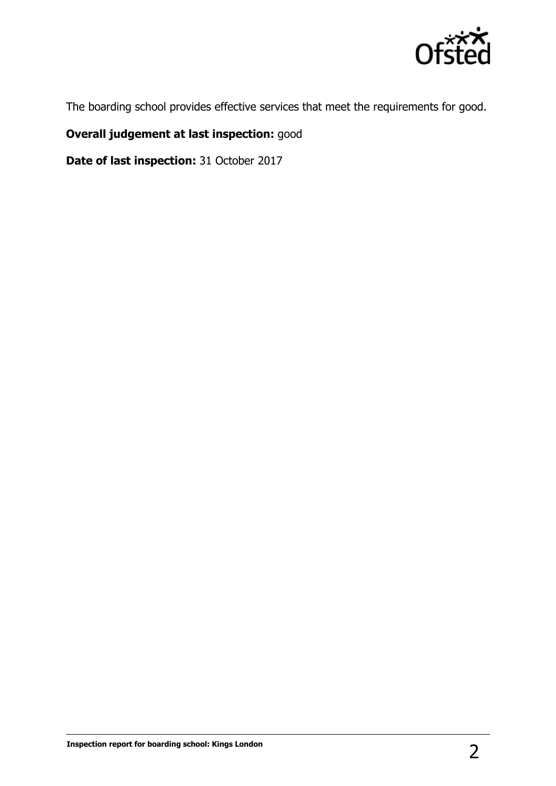

The boarding school provides effective services that meet the requirements for good.

### **Overall judgement at last inspection:** good

**Date of last inspection:** 31 October 2017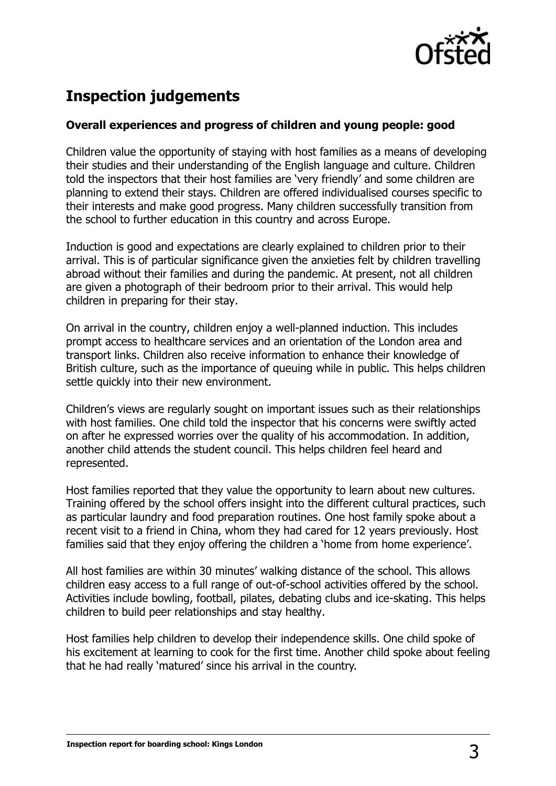

# **Inspection judgements**

#### **Overall experiences and progress of children and young people: good**

Children value the opportunity of staying with host families as a means of developing their studies and their understanding of the English language and culture. Children told the inspectors that their host families are 'very friendly' and some children are planning to extend their stays. Children are offered individualised courses specific to their interests and make good progress. Many children successfully transition from the school to further education in this country and across Europe.

Induction is good and expectations are clearly explained to children prior to their arrival. This is of particular significance given the anxieties felt by children travelling abroad without their families and during the pandemic. At present, not all children are given a photograph of their bedroom prior to their arrival. This would help children in preparing for their stay.

On arrival in the country, children enjoy a well-planned induction. This includes prompt access to healthcare services and an orientation of the London area and transport links. Children also receive information to enhance their knowledge of British culture, such as the importance of queuing while in public. This helps children settle quickly into their new environment.

Children's views are regularly sought on important issues such as their relationships with host families. One child told the inspector that his concerns were swiftly acted on after he expressed worries over the quality of his accommodation. In addition, another child attends the student council. This helps children feel heard and represented.

Host families reported that they value the opportunity to learn about new cultures. Training offered by the school offers insight into the different cultural practices, such as particular laundry and food preparation routines. One host family spoke about a recent visit to a friend in China, whom they had cared for 12 years previously. Host families said that they enjoy offering the children a 'home from home experience'.

All host families are within 30 minutes' walking distance of the school. This allows children easy access to a full range of out-of-school activities offered by the school. Activities include bowling, football, pilates, debating clubs and ice-skating. This helps children to build peer relationships and stay healthy.

Host families help children to develop their independence skills. One child spoke of his excitement at learning to cook for the first time. Another child spoke about feeling that he had really 'matured' since his arrival in the country.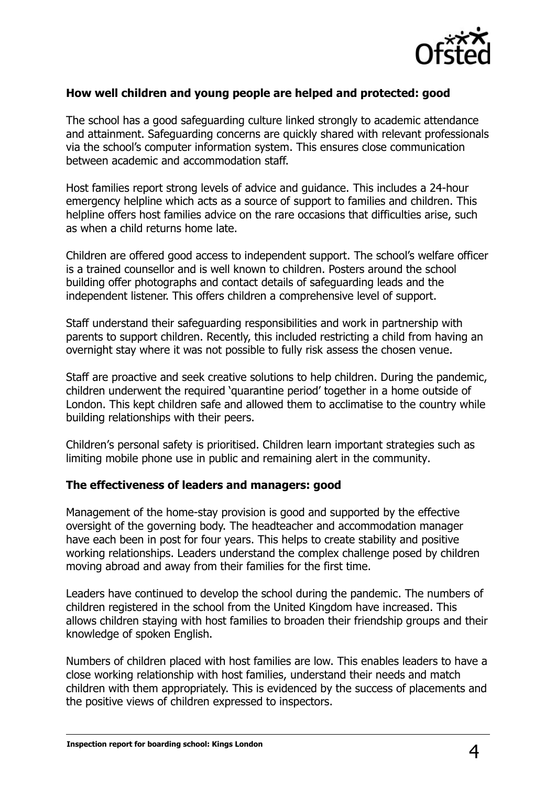

#### **How well children and young people are helped and protected: good**

The school has a good safeguarding culture linked strongly to academic attendance and attainment. Safeguarding concerns are quickly shared with relevant professionals via the school's computer information system. This ensures close communication between academic and accommodation staff.

Host families report strong levels of advice and guidance. This includes a 24-hour emergency helpline which acts as a source of support to families and children. This helpline offers host families advice on the rare occasions that difficulties arise, such as when a child returns home late.

Children are offered good access to independent support. The school's welfare officer is a trained counsellor and is well known to children. Posters around the school building offer photographs and contact details of safeguarding leads and the independent listener. This offers children a comprehensive level of support.

Staff understand their safeguarding responsibilities and work in partnership with parents to support children. Recently, this included restricting a child from having an overnight stay where it was not possible to fully risk assess the chosen venue.

Staff are proactive and seek creative solutions to help children. During the pandemic, children underwent the required 'quarantine period' together in a home outside of London. This kept children safe and allowed them to acclimatise to the country while building relationships with their peers.

Children's personal safety is prioritised. Children learn important strategies such as limiting mobile phone use in public and remaining alert in the community.

#### **The effectiveness of leaders and managers: good**

Management of the home-stay provision is good and supported by the effective oversight of the governing body. The headteacher and accommodation manager have each been in post for four years. This helps to create stability and positive working relationships. Leaders understand the complex challenge posed by children moving abroad and away from their families for the first time.

Leaders have continued to develop the school during the pandemic. The numbers of children registered in the school from the United Kingdom have increased. This allows children staying with host families to broaden their friendship groups and their knowledge of spoken English.

Numbers of children placed with host families are low. This enables leaders to have a close working relationship with host families, understand their needs and match children with them appropriately. This is evidenced by the success of placements and the positive views of children expressed to inspectors.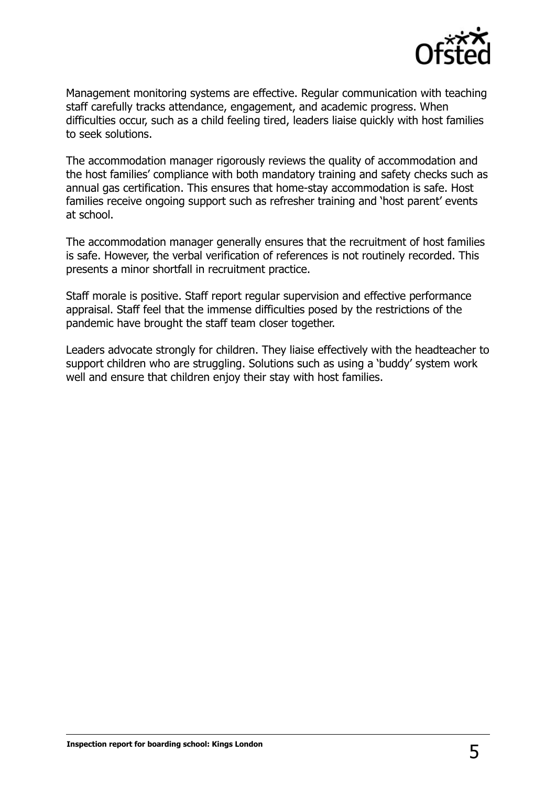

Management monitoring systems are effective. Regular communication with teaching staff carefully tracks attendance, engagement, and academic progress. When difficulties occur, such as a child feeling tired, leaders liaise quickly with host families to seek solutions.

The accommodation manager rigorously reviews the quality of accommodation and the host families' compliance with both mandatory training and safety checks such as annual gas certification. This ensures that home-stay accommodation is safe. Host families receive ongoing support such as refresher training and 'host parent' events at school.

The accommodation manager generally ensures that the recruitment of host families is safe. However, the verbal verification of references is not routinely recorded. This presents a minor shortfall in recruitment practice.

Staff morale is positive. Staff report regular supervision and effective performance appraisal. Staff feel that the immense difficulties posed by the restrictions of the pandemic have brought the staff team closer together.

Leaders advocate strongly for children. They liaise effectively with the headteacher to support children who are struggling. Solutions such as using a 'buddy' system work well and ensure that children enjoy their stay with host families.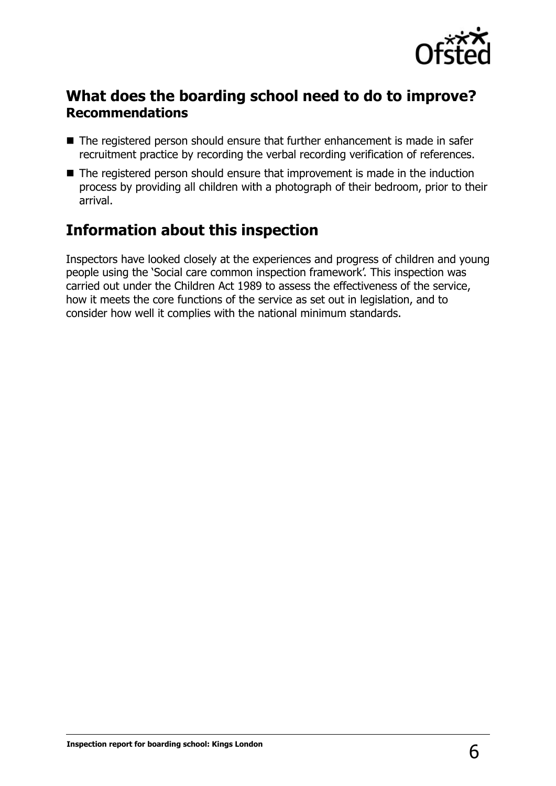

## **What does the boarding school need to do to improve? Recommendations**

- The registered person should ensure that further enhancement is made in safer recruitment practice by recording the verbal recording verification of references.
- The registered person should ensure that improvement is made in the induction process by providing all children with a photograph of their bedroom, prior to their arrival.

## **Information about this inspection**

Inspectors have looked closely at the experiences and progress of children and young people using the 'Social care common inspection framework'. This inspection was carried out under the Children Act 1989 to assess the effectiveness of the service, how it meets the core functions of the service as set out in legislation, and to consider how well it complies with the national minimum standards.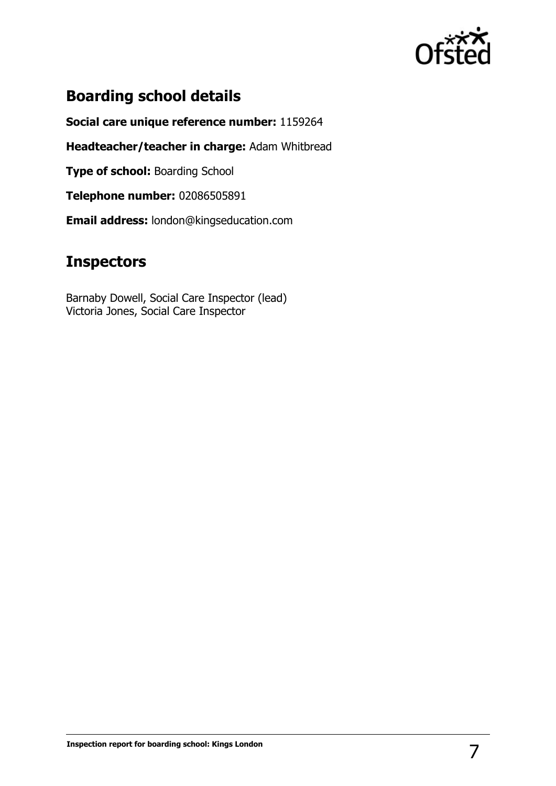

## **Boarding school details**

**Social care unique reference number:** 1159264

**Headteacher/teacher in charge:** Adam Whitbread

**Type of school: Boarding School** 

**Telephone number:** 02086505891

**Email address:** london@kingseducation.com

## **Inspectors**

Barnaby Dowell, Social Care Inspector (lead) Victoria Jones, Social Care Inspector